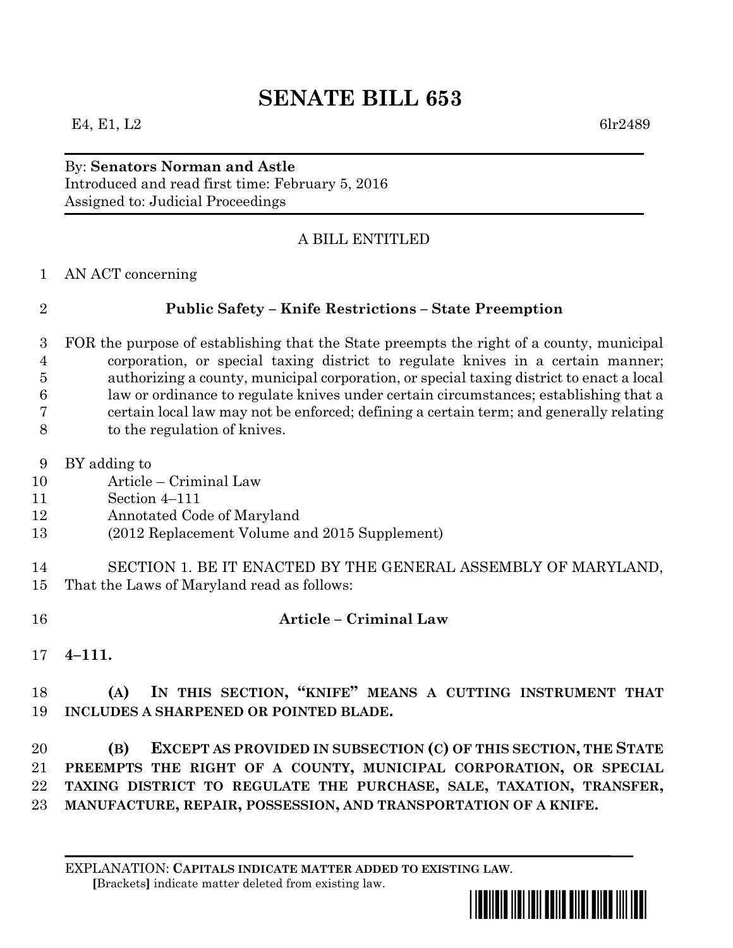# **SENATE BILL 653**

### By: **Senators Norman and Astle** Introduced and read first time: February 5, 2016 Assigned to: Judicial Proceedings

## A BILL ENTITLED

AN ACT concerning

### **Public Safety – Knife Restrictions – State Preemption**

- FOR the purpose of establishing that the State preempts the right of a county, municipal corporation, or special taxing district to regulate knives in a certain manner; authorizing a county, municipal corporation, or special taxing district to enact a local law or ordinance to regulate knives under certain circumstances; establishing that a certain local law may not be enforced; defining a certain term; and generally relating to the regulation of knives.
- BY adding to
- Article Criminal Law
- Section 4–111
- Annotated Code of Maryland
- (2012 Replacement Volume and 2015 Supplement)
- SECTION 1. BE IT ENACTED BY THE GENERAL ASSEMBLY OF MARYLAND, That the Laws of Maryland read as follows:
- **Article – Criminal Law**
- **4–111.**

## **(A) IN THIS SECTION, "KNIFE" MEANS A CUTTING INSTRUMENT THAT INCLUDES A SHARPENED OR POINTED BLADE.**

 **(B) EXCEPT AS PROVIDED IN SUBSECTION (C) OF THIS SECTION, THE STATE PREEMPTS THE RIGHT OF A COUNTY, MUNICIPAL CORPORATION, OR SPECIAL TAXING DISTRICT TO REGULATE THE PURCHASE, SALE, TAXATION, TRANSFER, MANUFACTURE, REPAIR, POSSESSION, AND TRANSPORTATION OF A KNIFE.**